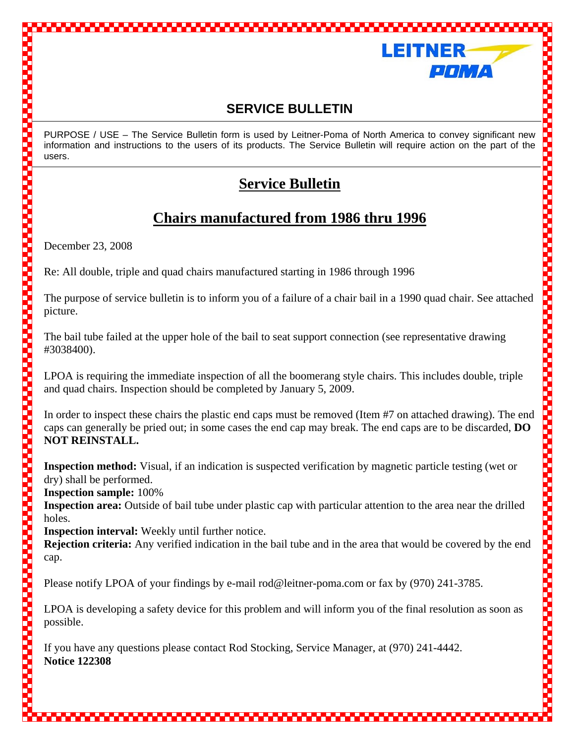

## **SERVICE BULLETIN**

,,,,,,,,,

PURPOSE / USE – The Service Bulletin form is used by Leitner-Poma of North America to convey significant new information and instructions to the users of its products. The Service Bulletin will require action on the part of the users.

## **Service Bulletin**

## **Chairs manufactured from 1986 thru 1996**

December 23, 2008

Re: All double, triple and quad chairs manufactured starting in 1986 through 1996

The purpose of service bulletin is to inform you of a failure of a chair bail in a 1990 quad chair. See attached picture.

The bail tube failed at the upper hole of the bail to seat support connection (see representative drawing #3038400).

LPOA is requiring the immediate inspection of all the boomerang style chairs. This includes double, triple and quad chairs. Inspection should be completed by January 5, 2009.

In order to inspect these chairs the plastic end caps must be removed (Item #7 on attached drawing). The end caps can generally be pried out; in some cases the end cap may break. The end caps are to be discarded, **DO NOT REINSTALL.** 

**Inspection method:** Visual, if an indication is suspected verification by magnetic particle testing (wet or dry) shall be performed.

**Inspection sample:** 100%

**Inspection area:** Outside of bail tube under plastic cap with particular attention to the area near the drilled holes.

**Inspection interval:** Weekly until further notice.

**Rejection criteria:** Any verified indication in the bail tube and in the area that would be covered by the end cap.

Please notify LPOA of your findings by e-mail rod@leitner-poma.com or fax by (970) 241-3785.

LPOA is developing a safety device for this problem and will inform you of the final resolution as soon as possible.

If you have any questions please contact Rod Stocking, Service Manager, at (970) 241-4442. **Notice 122308**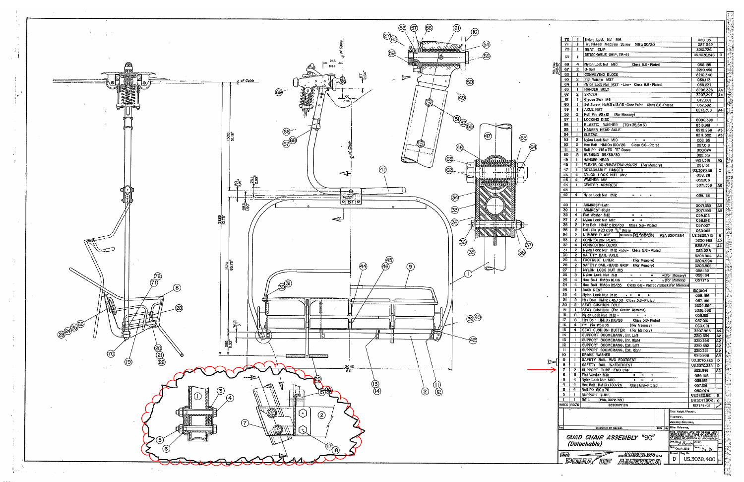

|                                               | 72     |                                                           | Nylon Lock Nut<br>M6                                                      |                                    | 058,183                                                                                                                                     |          |
|-----------------------------------------------|--------|-----------------------------------------------------------|---------------------------------------------------------------------------|------------------------------------|---------------------------------------------------------------------------------------------------------------------------------------------|----------|
| 71                                            |        | ı                                                         | Trusshead Machine Screw<br>M6 x 20/20                                     |                                    | 057.342                                                                                                                                     |          |
|                                               | 70     | ı                                                         | SEAT CLIP                                                                 |                                    | 3210.736                                                                                                                                    |          |
|                                               | 69     | ı                                                         | DETACHABLE GRIP, TB-41                                                    |                                    | US.3038.246                                                                                                                                 | D        |
| 68                                            |        | 4                                                         | Nylon Lock Nut MIO<br>Class 5.6 - Plated                                  |                                    | 058.185                                                                                                                                     |          |
| 67                                            |        | 2                                                         | U-Bolt                                                                    |                                    | 8210.458                                                                                                                                    |          |
| 66<br>65                                      |        | ı<br>2                                                    | CONVEYING BLOCK<br>Flot Washer M27                                        |                                    | 8210.340<br>059.113                                                                                                                         |          |
| 64                                            |        | 1                                                         | Nylon Lock Nut M27 -Low- Class 8.8-Piated                                 |                                    | 058.237                                                                                                                                     |          |
| 63                                            |        | ı                                                         | HANGER BOLT                                                               |                                    | 8206.326                                                                                                                                    | 44       |
| 62<br>6I                                      |        | 2<br>ı                                                    | SPACER<br>Grease Zerk M6                                                  |                                    | 3207,397                                                                                                                                    | А4       |
| 60                                            |        | ŧ                                                         | Set Screw HcM5 x 15/15 - Cone Paint Class 8.8-Plated                      |                                    | 012.001<br>057.592                                                                                                                          |          |
| 59                                            |        | ı                                                         | AXLE NUT                                                                  |                                    | 8213,388                                                                                                                                    | А4       |
| 58<br>57                                      |        | 2<br>1                                                    | Roll Pin \$5x10<br>(For Memory)<br>Locking disc                           |                                    |                                                                                                                                             |          |
| 56                                            |        | ţ                                                         | ELASTIC WASHER (70x35.5x3)                                                |                                    | 8090.396<br>8316.961                                                                                                                        |          |
| 55                                            |        | ŧ                                                         | HANGER HEAD AXLE                                                          |                                    | 8212.236                                                                                                                                    | A3       |
| 54                                            |        | 1                                                         | <b>SLEEVE</b>                                                             |                                    | 8211 362                                                                                                                                    | A3       |
| 53<br>52                                      | 2      | z                                                         | Nylon Lock Nut MIO<br>Ħ<br>Hex Bolt HMIO x 100/26<br>Class 5.6 - Plated   |                                    | 058,185<br>057.016                                                                                                                          |          |
| 51                                            |        | 2                                                         | Roll Pin ØI6 x 75 "E" Dacro                                               |                                    | 060.074                                                                                                                                     |          |
| 50                                            |        | 3                                                         | BUSHING 35/39/30                                                          |                                    | 082,513                                                                                                                                     |          |
| 49<br>48                                      | ł<br>ı |                                                           | hanger head<br>FLEXIBLOC · PAULSTRA-861175 (For Memory)                   |                                    | 8211,318                                                                                                                                    | A2       |
| 47                                            | ł      |                                                           | DETACHABLE HANGER                                                         |                                    | 051.151<br>US.3070.116                                                                                                                      | ¢        |
| 46                                            | 4      |                                                           | NYLON LOCK NUT MI2                                                        |                                    | 058.186                                                                                                                                     |          |
| 45<br>44                                      |        | 4<br>WASHER MI2<br>CENTER ARMREST<br>ı                    |                                                                           |                                    | 059.106<br>3071.358                                                                                                                         |          |
| 43                                            |        |                                                           |                                                                           |                                    |                                                                                                                                             | ۸3       |
| 42                                            | 4      |                                                           | Nylon Lock Nut MI2.<br>$\mathbf{a}$<br>Ħ<br>t.                            |                                    | 058.186                                                                                                                                     |          |
| 40                                            | п      |                                                           |                                                                           |                                    |                                                                                                                                             |          |
| 39                                            | ι      |                                                           | ARMREST-Left<br>ARMREST-Right                                             |                                    | 3071359<br>3071.359                                                                                                                         | A3<br>A3 |
| 38                                            |        | 4<br>Flat Washer M12<br>$\mathbf{u}$<br>$\mathbf{H}$<br>и |                                                                           |                                    | 059.IO6                                                                                                                                     |          |
| 37<br>36                                      |        | 2<br>Nylon Lock Nut M12<br><b>it</b><br>в<br>2            |                                                                           |                                    | 058.186                                                                                                                                     |          |
| 35                                            | 2      |                                                           | Hex Bolt HMI2 x 120/30<br>Class 5.6-Plated<br>Roll Pin #20 x 90 "E" Dacro |                                    | 057.027<br>060,068                                                                                                                          |          |
| 34                                            | 2      |                                                           | (Numbers POA: US 3220.713)<br>number plate<br>PSA 3207,384                |                                    | US.3220.712                                                                                                                                 | в        |
| 33                                            | 2      |                                                           | CONNECTION PLATE                                                          |                                    | 3220.968                                                                                                                                    | Α2       |
| 32<br>31                                      | 4<br>2 |                                                           | CONNECTION BLOCK<br>Nylon Lock Nut   MI2 -Low-<br>Class 5.6 - Plated      |                                    | 8215.854<br>058.235                                                                                                                         | Α4       |
| 30                                            | 2      |                                                           | SAFETY BAIL-AXLE                                                          |                                    | 3208.864                                                                                                                                    | А4       |
| 29<br>28                                      | 4      |                                                           | FOOTREST LINER<br>(For Memory)                                            |                                    | 3204.994                                                                                                                                    |          |
| 27                                            | 2<br>1 |                                                           | SAFETY BAIL-HAND GRIP<br>(For Memory)<br>NYLON LOCK NUT M5                |                                    | 3208.862<br>058.182                                                                                                                         |          |
| 26                                            | 8      |                                                           | Nylon Lock Nut M8<br>t.<br>$\blacksquare$<br>$\mathbf{u}$                 | "(For Memory)                      | 058.IB4                                                                                                                                     |          |
| 25<br>24                                      | 4<br>4 |                                                           | Hex Boll HM8x16/16<br>n<br>u<br>$\mathbf{I}$<br>Hex Boll HMB x 35/35      | <b>u</b> (For Memory)              | 057.173                                                                                                                                     |          |
| 23                                            | ı      |                                                           | Class 6.8 - Plated / Black (For Memory)<br><b>BACK REST</b>               |                                    | 5100104                                                                                                                                     |          |
| 22                                            | 4      |                                                           | Nylon Lock Nut M12<br>- 8<br>$\mathbf{u}$                                 |                                    | 058.186                                                                                                                                     |          |
| 21<br>20                                      | 2<br>2 |                                                           | Hex Bolt HM I2 x 45/30 Class 5.6 - Plated<br>SEAT CUSHION BOLT            | 057,165                            |                                                                                                                                             |          |
| 19                                            | 1      |                                                           | SEAT CUSHION (For Center Armrest)                                         |                                    | 3204.664<br>3035.532                                                                                                                        |          |
| 18                                            | 8      |                                                           | Nylon Lock Nut MIO -<br>$\mathbf{r}$                                      |                                    | 058.185                                                                                                                                     |          |
| 17<br>16                                      | 8<br>4 |                                                           | Hex Bolt HMIOx100/26<br>Class 5.6-Piated<br>Roll Pin \$5x35               |                                    | 057.016                                                                                                                                     |          |
| 15                                            | 4      |                                                           | (For Memory)<br>SEAT CUSHION BUFFER<br>(For Memory)                       |                                    | 060.081<br>3207.965                                                                                                                         | Α4       |
| 14                                            | ı      |                                                           | SUPPORT BOOMERANG, Int. Left                                              |                                    | 3210,354                                                                                                                                    | A2       |
| 13                                            | ŧ      |                                                           | SUPPORT BOOMERANG, Int. Right                                             |                                    | 3210.353                                                                                                                                    | A2       |
| 12<br>н                                       | 1<br>ı |                                                           | SUPPORT BOOMERANG, Ext. Left<br>SUPPORT BOOMERANG, Ext. Right             |                                    | 3210,352<br>3210.351                                                                                                                        | A2<br>A2 |
| 10                                            | 1      |                                                           | BRAKE WASHER                                                              |                                    | 8215,938                                                                                                                                    | Α4       |
| 9<br>8                                        | ı<br>ł |                                                           | SAFETY BAIL W/O FOOTREST                                                  |                                    | US.3070.225                                                                                                                                 | D        |
| 7                                             | 2      |                                                           | SAFETY BAIL W/FOOTREST<br>SUPPORT TUBE - END CAP                          |                                    | US.3070.224<br>3221.966                                                                                                                     | Ð<br>А2  |
| 6                                             | 8      |                                                           | Flot Wosher MIO<br>$\mathbf{u}$<br>Ħ<br>в                                 |                                    | 059.IO5                                                                                                                                     |          |
| 5                                             | 4      |                                                           | Nylon Lock Nut MIO-<br>B<br>H.<br>$\mathbf{a}$                            |                                    | 058.185                                                                                                                                     |          |
| 4<br>3                                        | 4<br>4 |                                                           | Hex Boll HMIO x 100/26<br>Class 8.8-Plated<br>Roll Pin #16 x 75           |                                    | 057.016                                                                                                                                     |          |
| 2                                             | 1      |                                                           | SUPPORT TUBE                                                              |                                    | 060.074<br>US.3220,891                                                                                                                      | ₿        |
| t                                             | 1      |                                                           | BAIL<br>(PSA, 3072.721)                                                   |                                    | US3071.302                                                                                                                                  | ¢        |
| <b>INDEX</b>                                  | REO D  |                                                           | <b>DESCRIPTION</b>                                                        |                                    | REFERENCE                                                                                                                                   | تممهم    |
|                                               |        |                                                           |                                                                           | Total Weight/Pounds,<br>Treatment, |                                                                                                                                             |          |
|                                               |        |                                                           |                                                                           | Assembly Reference,                |                                                                                                                                             |          |
| Aer,                                          |        |                                                           | Description Of Ravision<br>Dote<br>īa,                                    | Other Reference,                   |                                                                                                                                             |          |
|                                               |        |                                                           |                                                                           |                                    | THIS DRAWING AND ITS DESIGN ARE<br>PROPILETARY TO POUN OF ANERICA<br>OUPLICATION WITHOUT THE PERINSSION<br>OF POUL OF ANERICA IS PROHIBITED |          |
| QUAD CHAIR ASSEMBLY "90"<br>Dan Brig they don |        |                                                           |                                                                           |                                    | Ct, Bt                                                                                                                                      |          |
|                                               |        |                                                           | (Detachable)                                                              | Dale, Oct. 11, 1988                | $\frac{5664}{100}$                                                                                                                          |          |
|                                               |        |                                                           |                                                                           |                                    |                                                                                                                                             |          |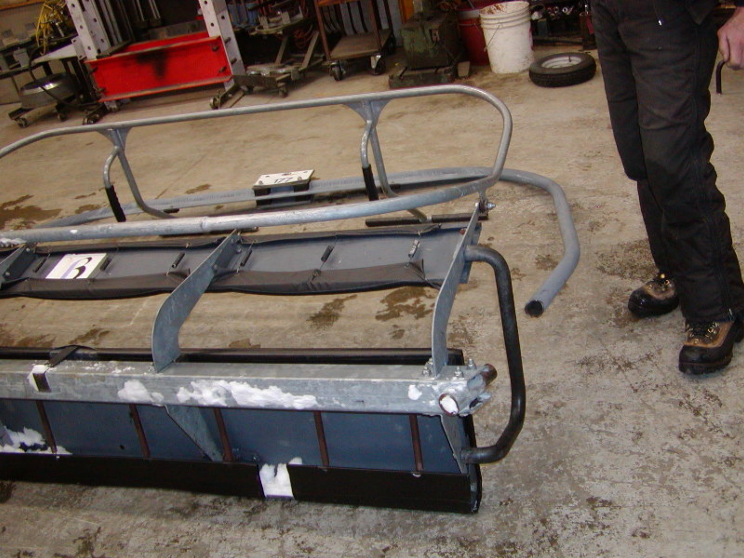